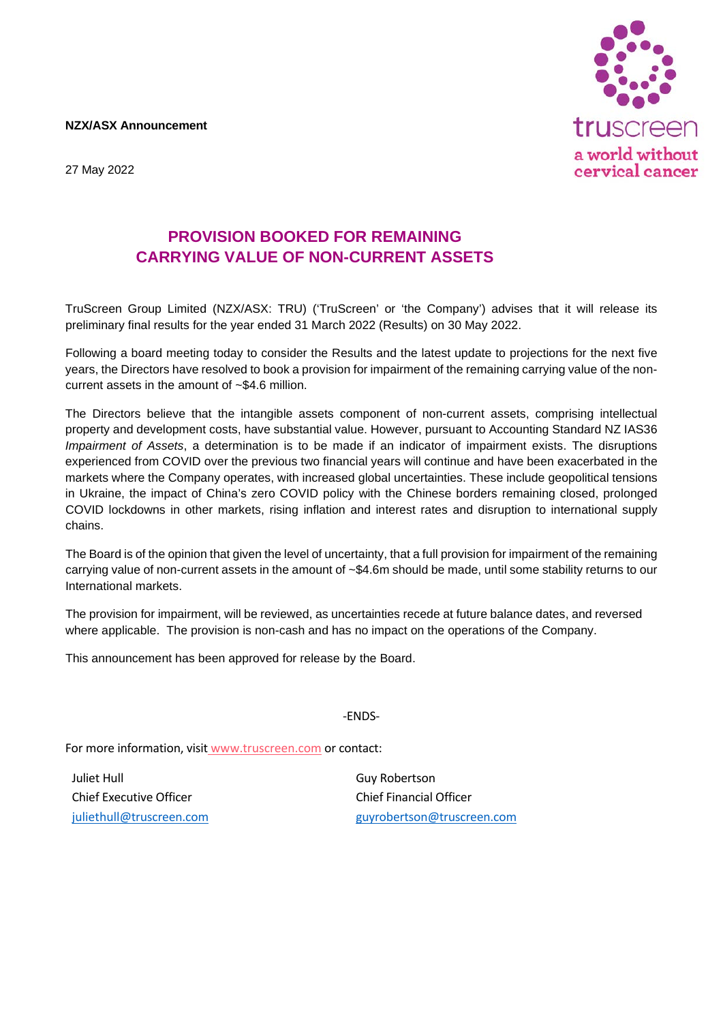**NZX/ASX Announcement**





## **PROVISION BOOKED FOR REMAINING CARRYING VALUE OF NON-CURRENT ASSETS**

TruScreen Group Limited (NZX/ASX: TRU) ('TruScreen' or 'the Company') advises that it will release its preliminary final results for the year ended 31 March 2022 (Results) on 30 May 2022.

Following a board meeting today to consider the Results and the latest update to projections for the next five years, the Directors have resolved to book a provision for impairment of the remaining carrying value of the noncurrent assets in the amount of ~\$4.6 million.

The Directors believe that the intangible assets component of non-current assets, comprising intellectual property and development costs, have substantial value. However, pursuant to Accounting Standard NZ IAS36 *Impairment of Assets*, a determination is to be made if an indicator of impairment exists. The disruptions experienced from COVID over the previous two financial years will continue and have been exacerbated in the markets where the Company operates, with increased global uncertainties. These include geopolitical tensions in Ukraine, the impact of China's zero COVID policy with the Chinese borders remaining closed, prolonged COVID lockdowns in other markets, rising inflation and interest rates and disruption to international supply chains.

The Board is of the opinion that given the level of uncertainty, that a full provision for impairment of the remaining carrying value of non-current assets in the amount of ~\$4.6m should be made, until some stability returns to our International markets.

The provision for impairment, will be reviewed, as uncertainties recede at future balance dates, and reversed where applicable. The provision is non-cash and has no impact on the operations of the Company.

This announcement has been approved for release by the Board.

-ENDS-

For more information, visit [www.truscreen.com](about:blank) or contact:

Juliet Hull Chief Executive Officer [juliethull@truscreen.com](about:blank) Guy Robertson Chief Financial Officer [guyrobertson@truscreen.com](about:blank)